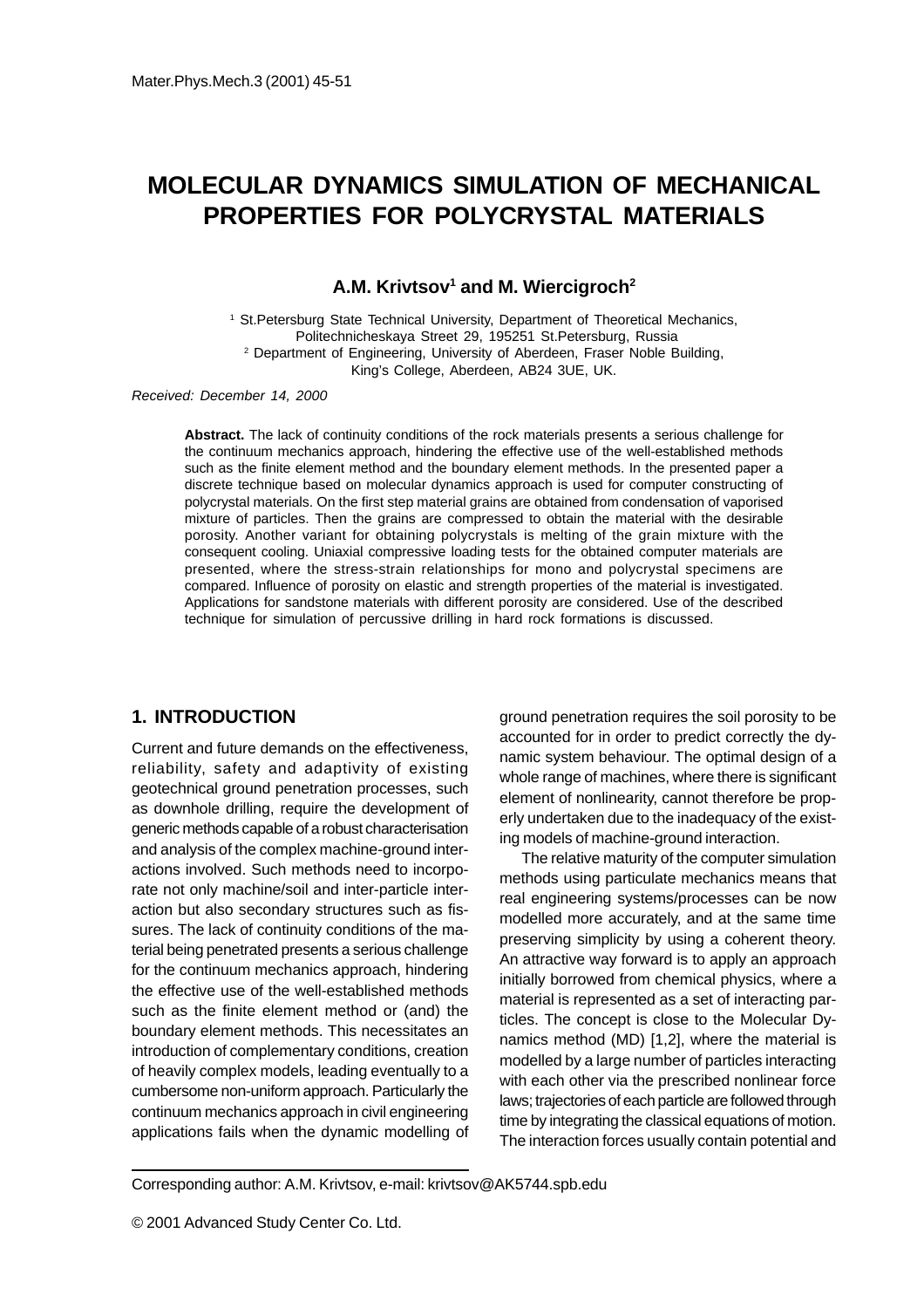# **MOLECULAR DYNAMICS SIMULATION OF MECHANICAL PROPERTIES FOR POLYCRYSTAL MATERIALS**

**A.M. Krivtsov1 and M. Wiercigroch2**

<sup>1</sup> St.Petersburg State Technical University, Department of Theoretical Mechanics, Politechnicheskaya Street 29, 195251 St.Petersburg, Russia 2 Department of Engineering, University of Aberdeen, Fraser Noble Building, King's College, Aberdeen, AB24 3UE, UK.

Received: December 14, 2000

**Abstract.** The lack of continuity conditions of the rock materials presents a serious challenge for the continuum mechanics approach, hindering the effective use of the well-established methods such as the finite element method and the boundary element methods. In the presented paper a discrete technique based on molecular dynamics approach is used for computer constructing of polycrystal materials. On the first step material grains are obtained from condensation of vaporised mixture of particles. Then the grains are compressed to obtain the material with the desirable porosity. Another variant for obtaining polycrystals is melting of the grain mixture with the consequent cooling. Uniaxial compressive loading tests for the obtained computer materials are presented, where the stress-strain relationships for mono and polycrystal specimens are compared. Influence of porosity on elastic and strength properties of the material is investigated. Applications for sandstone materials with different porosity are considered. Use of the described technique for simulation of percussive drilling in hard rock formations is discussed.

## **1. INTRODUCTION**

Current and future demands on the effectiveness, reliability, safety and adaptivity of existing geotechnical ground penetration processes, such as downhole drilling, require the development of generic methods capable of a robust characterisation and analysis of the complex machine-ground interactions involved. Such methods need to incorporate not only machine/soil and inter-particle interaction but also secondary structures such as fissures. The lack of continuity conditions of the material being penetrated presents a serious challenge for the continuum mechanics approach, hindering the effective use of the well-established methods such as the finite element method or (and) the boundary element methods. This necessitates an introduction of complementary conditions, creation of heavily complex models, leading eventually to a cumbersome non-uniform approach. Particularly the continuum mechanics approach in civil engineering applications fails when the dynamic modelling of

ground penetration requires the soil porosity to be accounted for in order to predict correctly the dynamic system behaviour. The optimal design of a whole range of machines, where there is significant element of nonlinearity, cannot therefore be properly undertaken due to the inadequacy of the existing models of machine-ground interaction.

The relative maturity of the computer simulation methods using particulate mechanics means that real engineering systems/processes can be now modelled more accurately, and at the same time preserving simplicity by using a coherent theory. An attractive way forward is to apply an approach initially borrowed from chemical physics, where a material is represented as a set of interacting particles. The concept is close to the Molecular Dynamics method (MD) [1,2], where the material is modelled by a large number of particles interacting with each other via the prescribed nonlinear force laws; trajectories of each particle are followed through time by integrating the classical equations of motion. The interaction forces usually contain potential and

Corresponding author: A.M. Krivtsov, e-mail: krivtsov@AK5744.spb.edu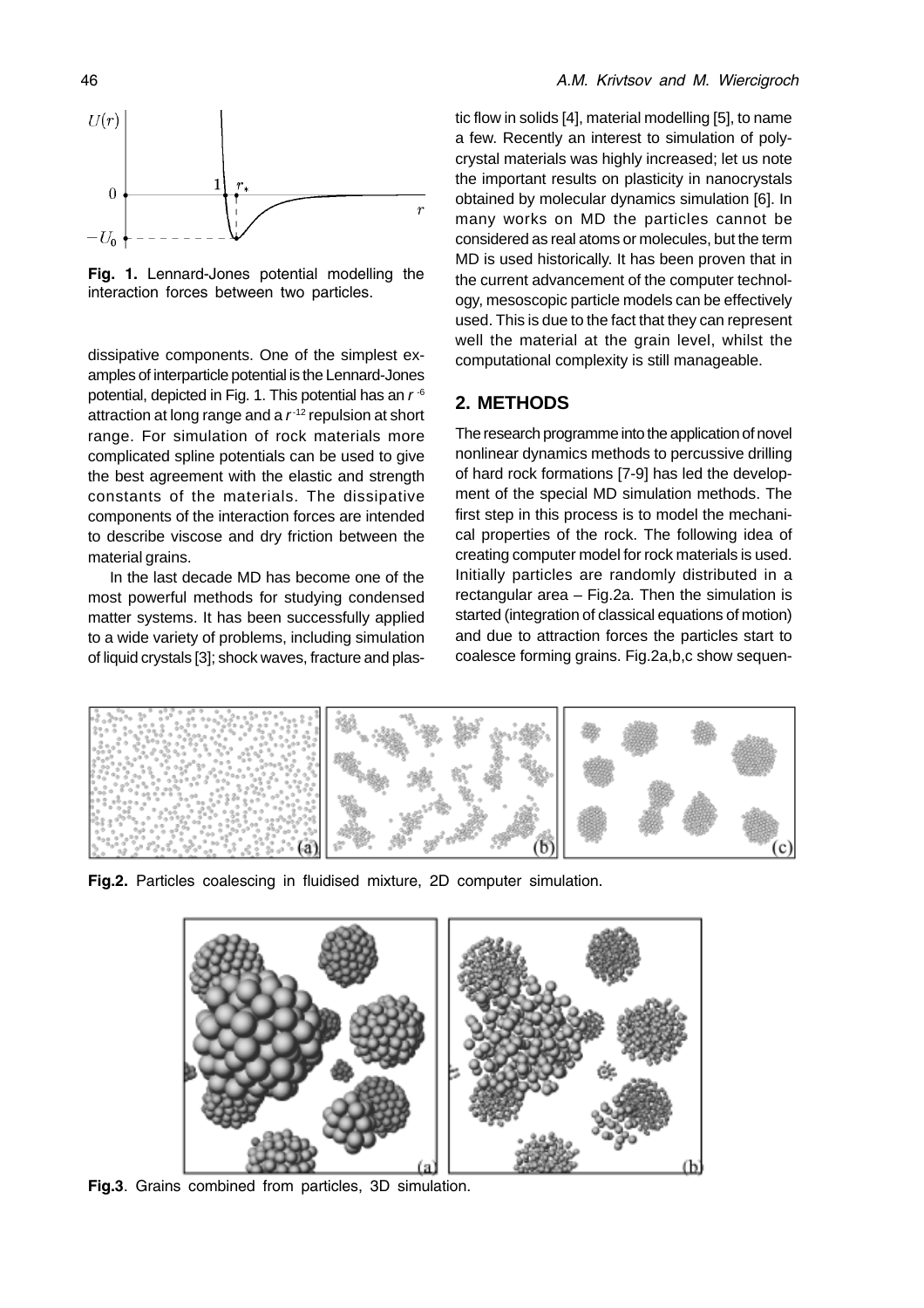Fig. 1. Lennard-Jones potential modelling the interaction forces between two particles.

dissipative components. One of the simplest examples of interparticle potential is the Lennard-Jones potential, depicted in Fig. 1. This potential has an  $r^{-6}$ attraction at long range and a  $r^{-12}$  repulsion at short range. For simulation of rock materials more complicated spline potentials can be used to give the best agreement with the elastic and strength constants of the materials. The dissipative components of the interaction forces are intended to describe viscose and dry friction between the material grains.

In the last decade MD has become one of the most powerful methods for studying condensed matter systems. It has been successfully applied to a wide variety of problems, including simulation of liquid crystals [3]; shock waves, fracture and plastic flow in solids [4], material modelling [5], to name a few. Recently an interest to simulation of polycrystal materials was highly increased; let us note the important results on plasticity in nanocrystals obtained by molecular dynamics simulation [6]. In many works on MD the particles cannot be considered as real atoms or molecules, but the term MD is used historically. It has been proven that in the current advancement of the computer technology, mesoscopic particle models can be effectively used. This is due to the fact that they can represent well the material at the grain level, whilst the computational complexity is still manageable.

## **2. METHODS**

The research programme into the application of novel nonlinear dynamics methods to percussive drilling of hard rock formations [7-9] has led the development of the special MD simulation methods. The first step in this process is to model the mechanical properties of the rock. The following idea of creating computer model for rock materials is used. Initially particles are randomly distributed in a rectangular area – Fig.2a. Then the simulation is started (integration of classical equations of motion) and due to attraction forces the particles start to coalesce forming grains. Fig.2a,b,c show sequen-



Fig.2. Particles coalescing in fluidised mixture, 2D computer simulation.



Fig.3. Grains combined from particles, 3D simulation.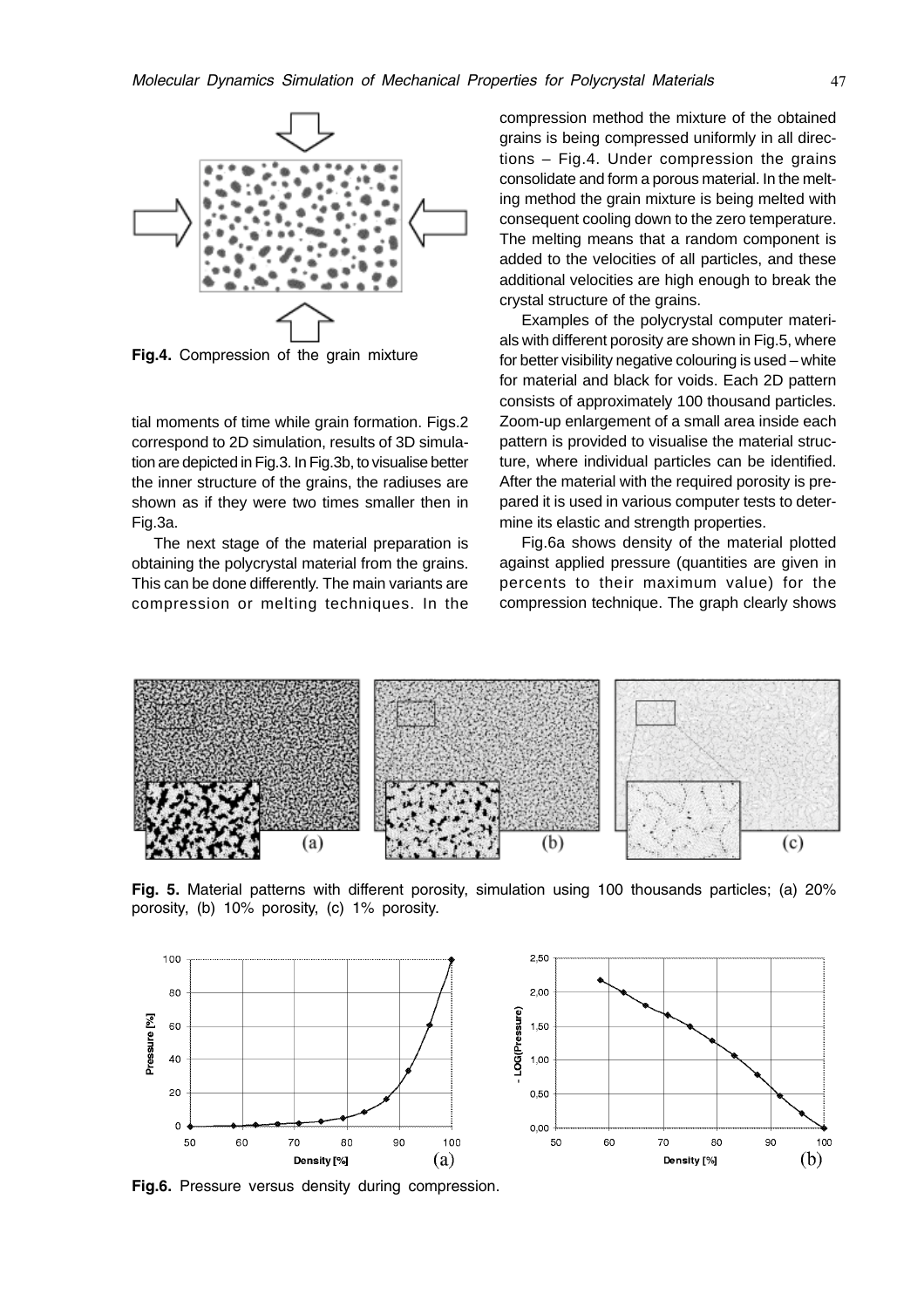

Fig.4. Compression of the grain mixture

tial moments of time while grain formation. Figs.2 correspond to 2D simulation, results of 3D simulation are depicted in Fig.3. In Fig.3b, to visualise better the inner structure of the grains, the radiuses are shown as if they were two times smaller then in Fig.3a.

The next stage of the material preparation is obtaining the polycrystal material from the grains. This can be done differently. The main variants are compression or melting techniques. In the compression method the mixture of the obtained grains is being compressed uniformly in all directions – Fig.4. Under compression the grains consolidate and form a porous material. In the melting method the grain mixture is being melted with consequent cooling down to the zero temperature. The melting means that a random component is added to the velocities of all particles, and these additional velocities are high enough to break the crystal structure of the grains.

Examples of the polycrystal computer materials with different porosity are shown in Fig.5, where for better visibility negative colouring is used – white for material and black for voids. Each 2D pattern consists of approximately 100 thousand particles. Zoom-up enlargement of a small area inside each pattern is provided to visualise the material structure, where individual particles can be identified. After the material with the required porosity is prepared it is used in various computer tests to determine its elastic and strength properties.

Fig.6a shows density of the material plotted against applied pressure (quantities are given in percents to their maximum value) for the compression technique. The graph clearly shows



Fig. 5. Material patterns with different porosity, simulation using 100 thousands particles; (a) 20% porosity, (b) 10% porosity, (c) 1% porosity.



Fig.6. Pressure versus density during compression.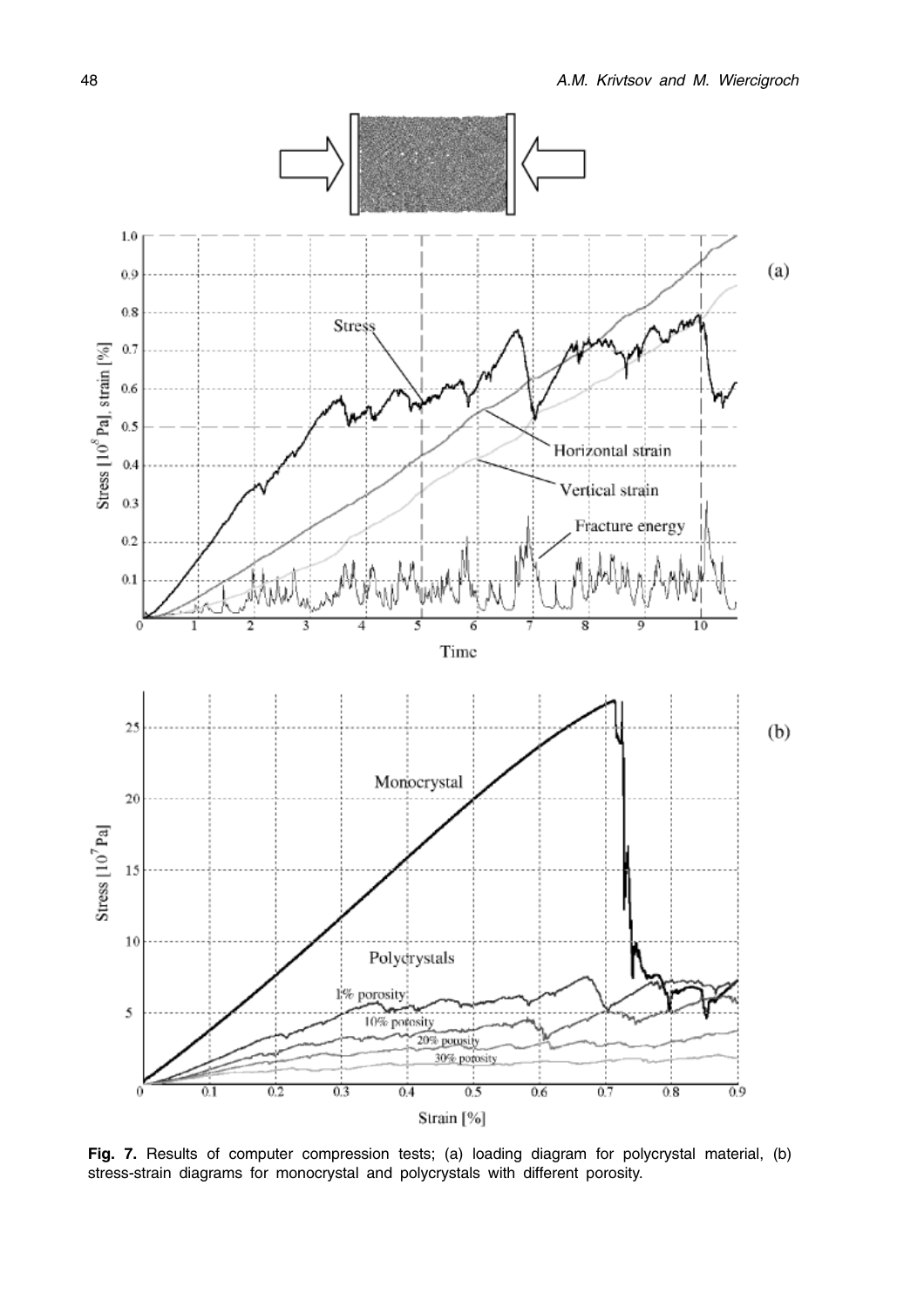

Fig. 7. Results of computer compression tests; (a) loading diagram for polycrystal material, (b) stress-strain diagrams for monocrystal and polycrystals with different porosity.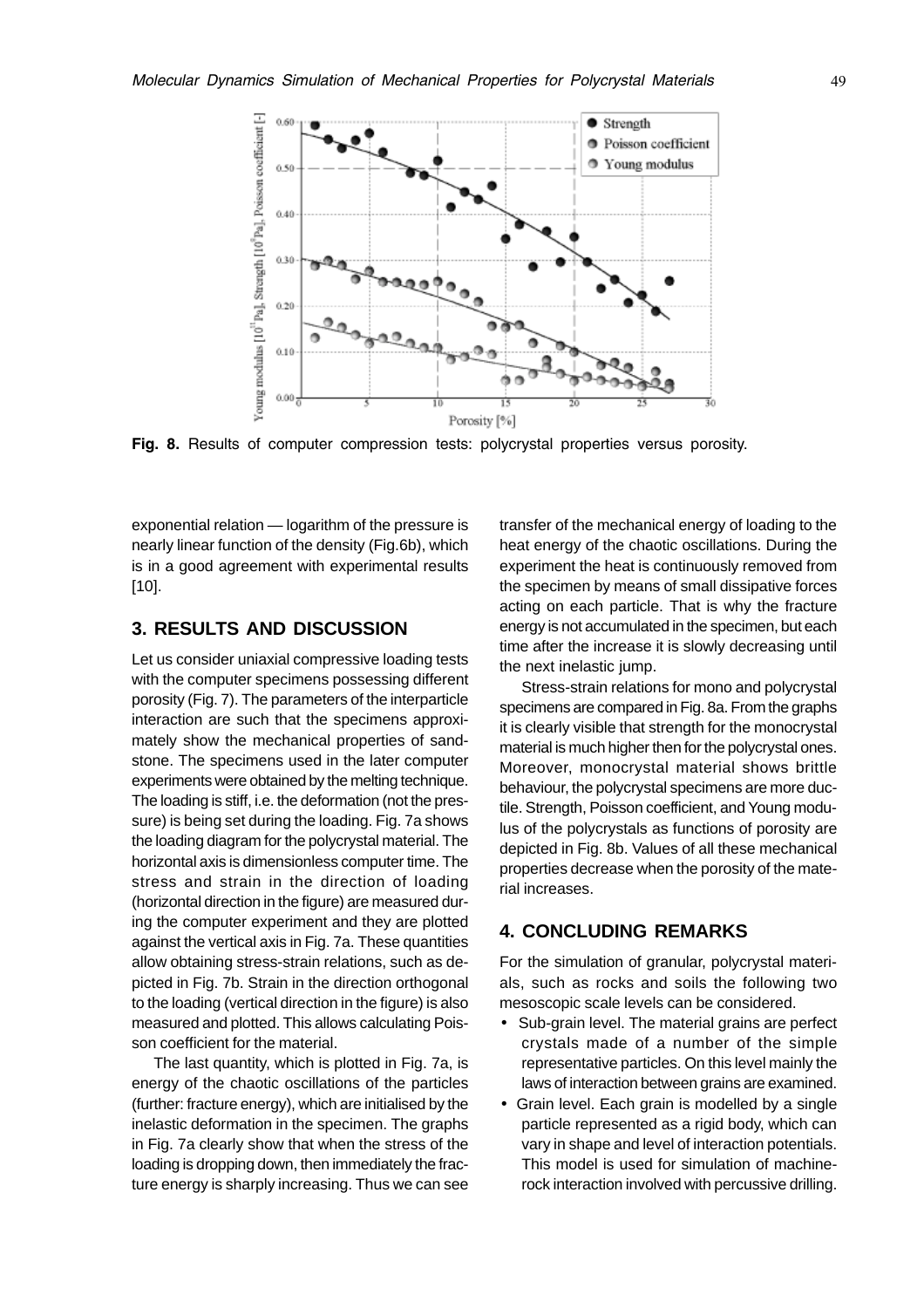

Fig. 8. Results of computer compression tests: polycrystal properties versus porosity.

exponential relation — logarithm of the pressure is nearly linear function of the density (Fig.6b), which is in a good agreement with experimental results [10].

# **3. RESULTS AND DISCUSSION**

Let us consider uniaxial compressive loading tests with the computer specimens possessing different porosity (Fig. 7). The parameters of the interparticle interaction are such that the specimens approximately show the mechanical properties of sandstone. The specimens used in the later computer experiments were obtained by the melting technique. The loading is stiff, i.e. the deformation (not the pressure) is being set during the loading. Fig. 7a shows the loading diagram for the polycrystal material. The horizontal axis is dimensionless computer time. The stress and strain in the direction of loading (horizontal direction in the figure) are measured during the computer experiment and they are plotted against the vertical axis in Fig. 7a. These quantities allow obtaining stress-strain relations, such as depicted in Fig. 7b. Strain in the direction orthogonal to the loading (vertical direction in the figure) is also measured and plotted. This allows calculating Poisson coefficient for the material.

The last quantity, which is plotted in Fig. 7a, is energy of the chaotic oscillations of the particles (further: fracture energy), which are initialised by the inelastic deformation in the specimen. The graphs in Fig. 7a clearly show that when the stress of the loading is dropping down, then immediately the fracture energy is sharply increasing. Thus we can see

transfer of the mechanical energy of loading to the heat energy of the chaotic oscillations. During the experiment the heat is continuously removed from the specimen by means of small dissipative forces acting on each particle. That is why the fracture energy is not accumulated in the specimen, but each time after the increase it is slowly decreasing until the next inelastic jump.

Stress-strain relations for mono and polycrystal specimens are compared in Fig. 8a. From the graphs it is clearly visible that strength for the monocrystal material is much higher then for the polycrystal ones. Moreover, monocrystal material shows brittle behaviour, the polycrystal specimens are more ductile. Strength, Poisson coefficient, and Young modulus of the polycrystals as functions of porosity are depicted in Fig. 8b. Values of all these mechanical properties decrease when the porosity of the material increases.

# **4. CONCLUDING REMARKS**

For the simulation of granular, polycrystal materials, such as rocks and soils the following two mesoscopic scale levels can be considered.

- Sub-grain level. The material grains are perfect crystals made of a number of the simple representative particles. On this level mainly the laws of interaction between grains are examined.
- Grain level. Each grain is modelled by a single particle represented as a rigid body, which can vary in shape and level of interaction potentials. This model is used for simulation of machinerock interaction involved with percussive drilling.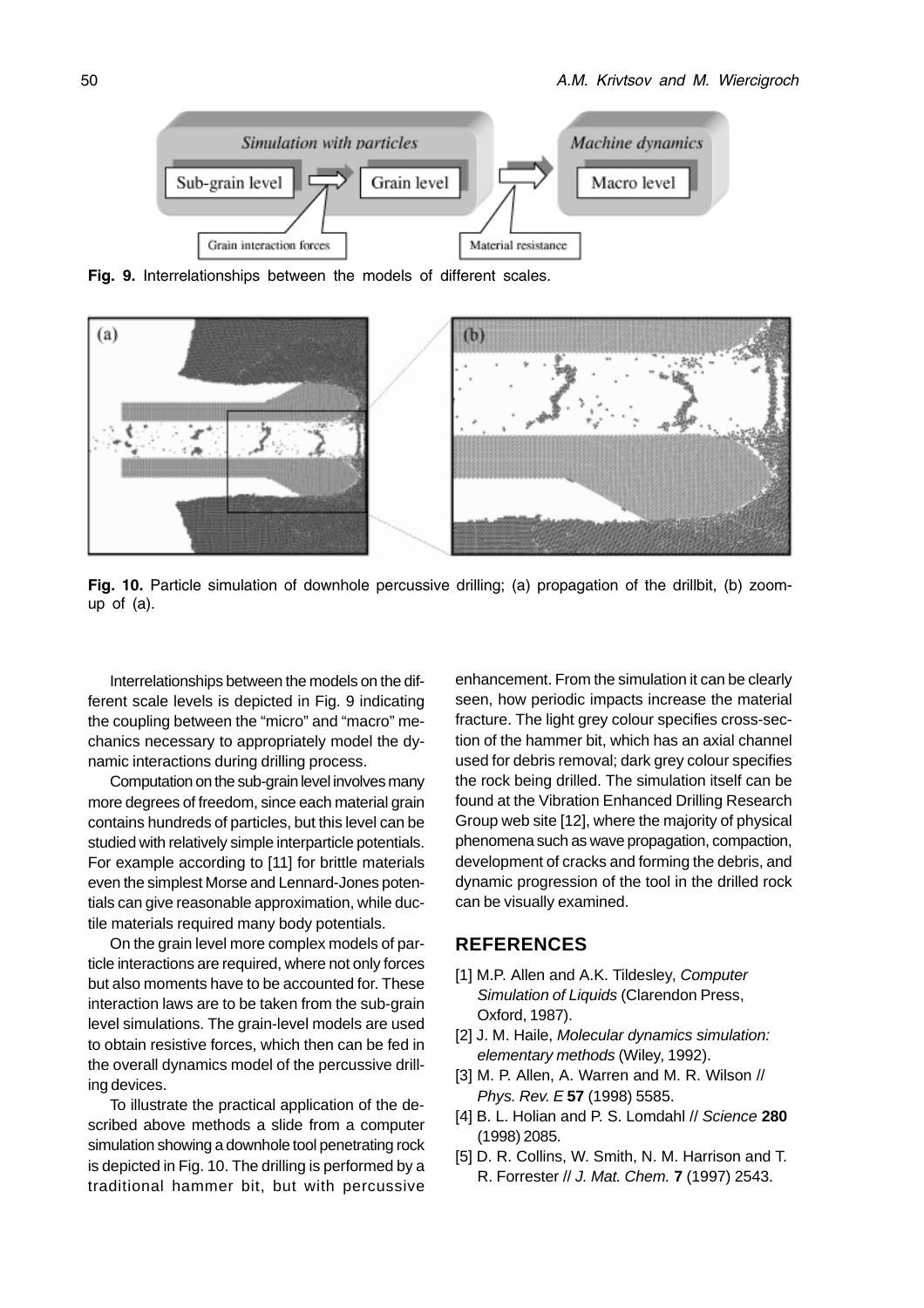

Fig. 9. Interrelationships between the models of different scales.



Fig. 10. Particle simulation of downhole percussive drilling; (a) propagation of the drillbit, (b) zoomup of  $(a)$ .

Interrelationships between the models on the different scale levels is depicted in Fig. 9 indicating the coupling between the "micro" and "macro" mechanics necessary to appropriately model the dynamic interactions during drilling process.

Computation on the sub-grain level involves many more degrees of freedom, since each material grain contains hundreds of particles, but this level can be studied with relatively simple interparticle potentials. For example according to [11] for brittle materials even the simplest Morse and Lennard-Jones potentials can give reasonable approximation, while ductile materials required many body potentials.

On the grain level more complex models of particle interactions are required, where not only forces but also moments have to be accounted for. These interaction laws are to be taken from the sub-grain level simulations. The grain-level models are used to obtain resistive forces, which then can be fed in the overall dynamics model of the percussive drilling devices.

To illustrate the practical application of the described above methods a slide from a computer simulation showing a downhole tool penetrating rock is depicted in Fig. 10. The drilling is performed by a traditional hammer bit, but with percussive

enhancement. From the simulation it can be clearly seen, how periodic impacts increase the material fracture. The light grey colour specifies cross-section of the hammer bit, which has an axial channel used for debris removal; dark grey colour specifies the rock being drilled. The simulation itself can be found at the Vibration Enhanced Drilling Research Group web site [12], where the majority of physical phenomena such as wave propagation, compaction, development of cracks and forming the debris, and dynamic progression of the tool in the drilled rock can be visually examined.

#### **REFERENCES**

- [1] M.P. Allen and A.K. Tildesley, Computer Simulation of Liquids (Clarendon Press, Oxford, 1987).
- [2] J. M. Haile, Molecular dynamics simulation: elementary methods (Wiley, 1992).
- [3] M. P. Allen, A. Warren and M. R. Wilson // Phys. Rev. E **57** (1998) 5585.
- [4] B. L. Holian and P. S. Lomdahl // Science **280** (1998) 2085.
- [5] D. R. Collins, W. Smith, N. M. Harrison and T. R. Forrester // J. Mat. Chem. **7** (1997) 2543.